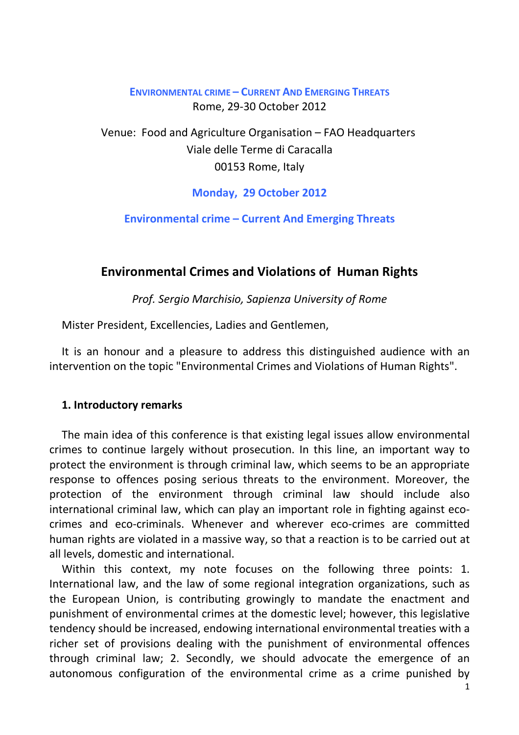# **ENVIRONMENTAL CRIME – CURRENT AND EMERGING THREATS** Rome, 29-30 October 2012

Venue: Food and Agriculture Organisation – FAO Headquarters Viale delle Terme di Caracalla 00153 Rome, Italy

**Monday, 29 October 2012** 

**Environmental crime – Current And Emerging Threats** 

# **Environmental Crimes and Violations of Human Rights**

*Prof. Sergio Marchisio, Sapienza University of Rome*

Mister President, Excellencies, Ladies and Gentlemen,

It is an honour and a pleasure to address this distinguished audience with an intervention on the topic "Environmental Crimes and Violations of Human Rights".

#### **1. Introductory remarks**

The main idea of this conference is that existing legal issues allow environmental crimes to continue largely without prosecution. In this line, an important way to protect the environment is through criminal law, which seems to be an appropriate response to offences posing serious threats to the environment. Moreover, the protection of the environment through criminal law should include also international criminal law, which can play an important role in fighting against ecocrimes and eco-criminals. Whenever and wherever eco-crimes are committed human rights are violated in a massive way, so that a reaction is to be carried out at all levels, domestic and international.

Within this context, my note focuses on the following three points: 1. International law, and the law of some regional integration organizations, such as the European Union, is contributing growingly to mandate the enactment and punishment of environmental crimes at the domestic level; however, this legislative tendency should be increased, endowing international environmental treaties with a richer set of provisions dealing with the punishment of environmental offences through criminal law; 2. Secondly, we should advocate the emergence of an autonomous configuration of the environmental crime as a crime punished by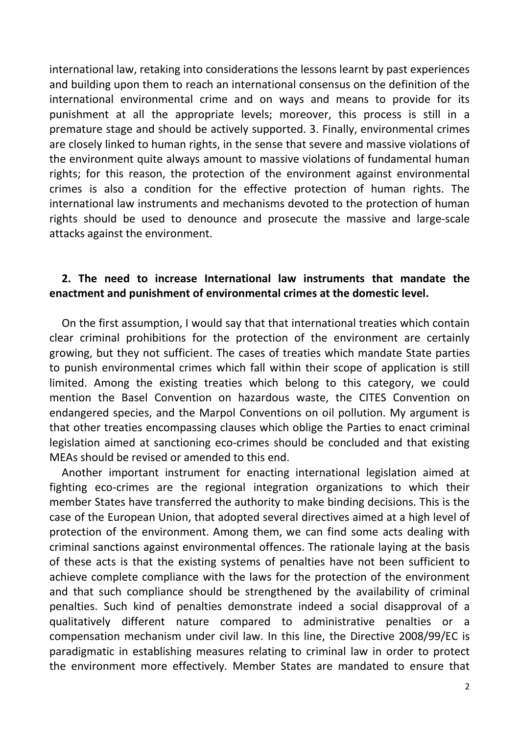international law, retaking into considerations the lessons learnt by past experiences and building upon them to reach an international consensus on the definition of the international environmental crime and on ways and means to provide for its punishment at all the appropriate levels; moreover, this process is still in a premature stage and should be actively supported. 3. Finally, environmental crimes are closely linked to human rights, in the sense that severe and massive violations of the environment quite always amount to massive violations of fundamental human rights; for this reason, the protection of the environment against environmental crimes is also a condition for the effective protection of human rights. The international law instruments and mechanisms devoted to the protection of human rights should be used to denounce and prosecute the massive and large-scale attacks against the environment.

# **2. The need to increase International law instruments that mandate the enactment and punishment of environmental crimes at the domestic level.**

On the first assumption, I would say that that international treaties which contain clear criminal prohibitions for the protection of the environment are certainly growing, but they not sufficient. The cases of treaties which mandate State parties to punish environmental crimes which fall within their scope of application is still limited. Among the existing treaties which belong to this category, we could mention the Basel Convention on hazardous waste, the CITES Convention on endangered species, and the Marpol Conventions on oil pollution. My argument is that other treaties encompassing clauses which oblige the Parties to enact criminal legislation aimed at sanctioning eco-crimes should be concluded and that existing MEAs should be revised or amended to this end.

Another important instrument for enacting international legislation aimed at fighting eco-crimes are the regional integration organizations to which their member States have transferred the authority to make binding decisions. This is the case of the European Union, that adopted several directives aimed at a high level of protection of the environment. Among them, we can find some acts dealing with criminal sanctions against environmental offences. The rationale laying at the basis of these acts is that the existing systems of penalties have not been sufficient to achieve complete compliance with the laws for the protection of the environment and that such compliance should be strengthened by the availability of criminal penalties. Such kind of penalties demonstrate indeed a social disapproval of a qualitatively different nature compared to administrative penalties or a compensation mechanism under civil law. In this line, the Directive 2008/99/EC is paradigmatic in establishing measures relating to criminal law in order to protect the environment more effectively. Member States are mandated to ensure that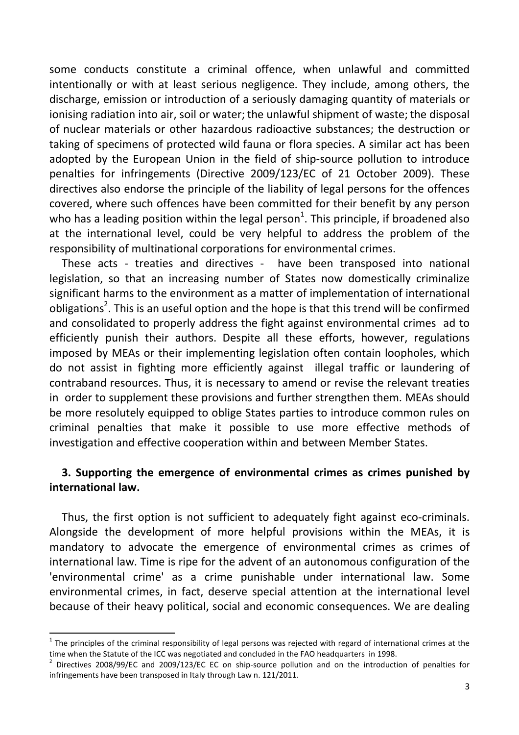some conducts constitute a criminal offence, when unlawful and committed intentionally or with at least serious negligence. They include, among others, the discharge, emission or introduction of a seriously damaging quantity of materials or ionising radiation into air, soil or water; the unlawful shipment of waste; the disposal of nuclear materials or other hazardous radioactive substances; the destruction or taking of specimens of protected wild fauna or flora species. A similar act has been adopted by the European Union in the field of ship-source pollution to introduce penalties for infringements (Directive 2009/123/EC of 21 October 2009). These directives also endorse the principle of the liability of legal persons for the offences covered, where such offences have been committed for their benefit by any person who has a leading position within the legal person<sup>1</sup>. This principle, if broadened also at the international level, could be very helpful to address the problem of the responsibility of multinational corporations for environmental crimes.

These acts - treaties and directives - have been transposed into national legislation, so that an increasing number of States now domestically criminalize significant harms to the environment as a matter of implementation of international obligations<sup>2</sup>. This is an useful option and the hope is that this trend will be confirmed and consolidated to properly address the fight against environmental crimes ad to efficiently punish their authors. Despite all these efforts, however, regulations imposed by MEAs or their implementing legislation often contain loopholes, which do not assist in fighting more efficiently against illegal traffic or laundering of contraband resources. Thus, it is necessary to amend or revise the relevant treaties in order to supplement these provisions and further strengthen them. MEAs should be more resolutely equipped to oblige States parties to introduce common rules on criminal penalties that make it possible to use more effective methods of investigation and effective cooperation within and between Member States.

## **3. Supporting the emergence of environmental crimes as crimes punished by international law.**

Thus, the first option is not sufficient to adequately fight against eco-criminals. Alongside the development of more helpful provisions within the MEAs, it is mandatory to advocate the emergence of environmental crimes as crimes of international law. Time is ripe for the advent of an autonomous configuration of the 'environmental crime' as a crime punishable under international law. Some environmental crimes, in fact, deserve special attention at the international level because of their heavy political, social and economic consequences. We are dealing

 $\overline{\phantom{0}}$ 

 $1$  The principles of the criminal responsibility of legal persons was rejected with regard of international crimes at the time when the Statute of the ICC was negotiated and concluded in the FAO headquarters in 1998.

<sup>&</sup>lt;sup>2</sup> Directives 2008/99/EC and 2009/123/EC EC on ship-source pollution and on the introduction of penalties for infringements have been transposed in Italy through Law n. 121/2011.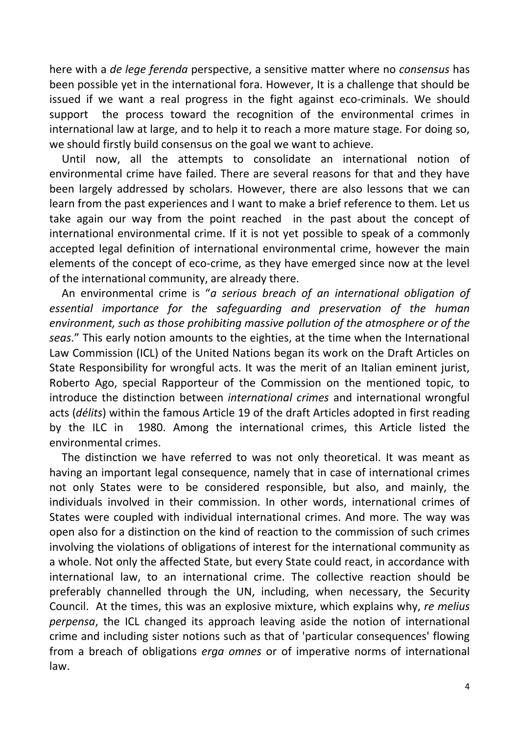here with a *de lege ferenda* perspective, a sensitive matter where no *consensus* has been possible yet in the international fora. However, It is a challenge that should be issued if we want a real progress in the fight against eco-criminals. We should support the process toward the recognition of the environmental crimes in international law at large, and to help it to reach a more mature stage. For doing so, we should firstly build consensus on the goal we want to achieve.

Until now, all the attempts to consolidate an international notion of environmental crime have failed. There are several reasons for that and they have been largely addressed by scholars. However, there are also lessons that we can learn from the past experiences and I want to make a brief reference to them. Let us take again our way from the point reached in the past about the concept of international environmental crime. If it is not yet possible to speak of a commonly accepted legal definition of international environmental crime, however the main elements of the concept of eco-crime, as they have emerged since now at the level of the international community, are already there.

An environmental crime is "*a serious breach of an international obligation of essential importance for the safeguarding and preservation of the human environment, such as those prohibiting massive pollution of the atmosphere or of the seas*." This early notion amounts to the eighties, at the time when the International Law Commission (ICL) of the United Nations began its work on the Draft Articles on State Responsibility for wrongful acts. It was the merit of an Italian eminent jurist, Roberto Ago, special Rapporteur of the Commission on the mentioned topic, to introduce the distinction between *international crimes* and international wrongful acts (*délits*) within the famous Article 19 of the draft Articles adopted in first reading by the ILC in 1980. Among the international crimes, this Article listed the environmental crimes.

The distinction we have referred to was not only theoretical. It was meant as having an important legal consequence, namely that in case of international crimes not only States were to be considered responsible, but also, and mainly, the individuals involved in their commission. In other words, international crimes of States were coupled with individual international crimes. And more. The way was open also for a distinction on the kind of reaction to the commission of such crimes involving the violations of obligations of interest for the international community as a whole. Not only the affected State, but every State could react, in accordance with international law, to an international crime. The collective reaction should be preferably channelled through the UN, including, when necessary, the Security Council. At the times, this was an explosive mixture, which explains why, *re melius perpensa*, the ICL changed its approach leaving aside the notion of international crime and including sister notions such as that of 'particular consequences' flowing from a breach of obligations *erga omnes* or of imperative norms of international law.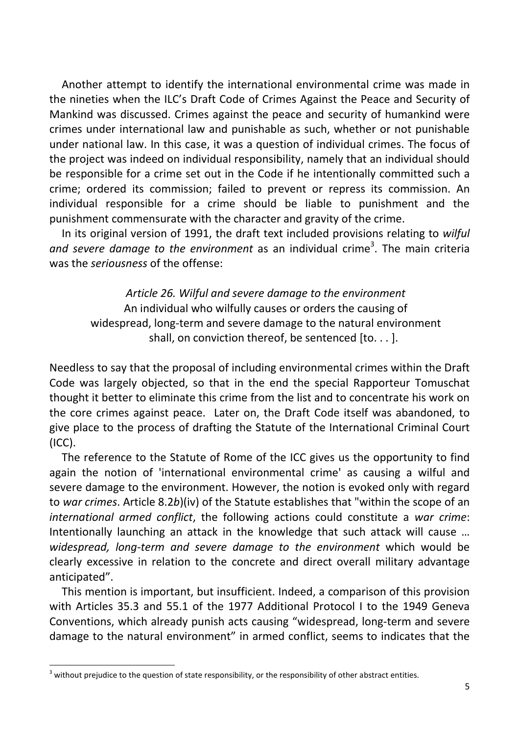Another attempt to identify the international environmental crime was made in the nineties when the ILC's Draft Code of Crimes Against the Peace and Security of Mankind was discussed. Crimes against the peace and security of humankind were crimes under international law and punishable as such, whether or not punishable under national law. In this case, it was a question of individual crimes. The focus of the project was indeed on individual responsibility, namely that an individual should be responsible for a crime set out in the Code if he intentionally committed such a crime; ordered its commission; failed to prevent or repress its commission. An individual responsible for a crime should be liable to punishment and the punishment commensurate with the character and gravity of the crime.

In its original version of 1991, the draft text included provisions relating to *wilful*  and severe damage to the environment as an individual crime<sup>3</sup>. The main criteria was the *seriousness* of the offense:

*Article 26. Wilful and severe damage to the environment* An individual who wilfully causes or orders the causing of widespread, long-term and severe damage to the natural environment shall, on conviction thereof, be sentenced  $[$ to... $]$ .

Needless to say that the proposal of including environmental crimes within the Draft Code was largely objected, so that in the end the special Rapporteur Tomuschat thought it better to eliminate this crime from the list and to concentrate his work on the core crimes against peace. Later on, the Draft Code itself was abandoned, to give place to the process of drafting the Statute of the International Criminal Court (ICC).

The reference to the Statute of Rome of the ICC gives us the opportunity to find again the notion of 'international environmental crime' as causing a wilful and severe damage to the environment. However, the notion is evoked only with regard to *war crimes*. Article 8.2*b*)(iv) of the Statute establishes that "within the scope of an *international armed conflict*, the following actions could constitute a *war crime*: Intentionally launching an attack in the knowledge that such attack will cause … *widespread, long-term and severe damage to the environment* which would be clearly excessive in relation to the concrete and direct overall military advantage anticipated".

This mention is important, but insufficient. Indeed, a comparison of this provision with Articles 35.3 and 55.1 of the 1977 Additional Protocol I to the 1949 Geneva Conventions, which already punish acts causing "widespread, long-term and severe damage to the natural environment" in armed conflict, seems to indicates that the

 $\overline{a}$ 

 $3$  without prejudice to the question of state responsibility, or the responsibility of other abstract entities.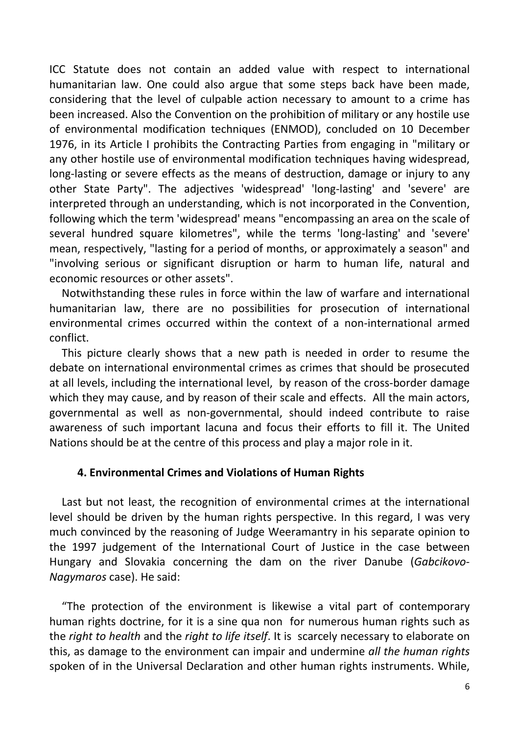ICC Statute does not contain an added value with respect to international humanitarian law. One could also argue that some steps back have been made, considering that the level of culpable action necessary to amount to a crime has been increased. Also the Convention on the prohibition of military or any hostile use of environmental modification techniques (ENMOD), concluded on 10 December 1976, in its Article I prohibits the Contracting Parties from engaging in "military or any other hostile use of environmental modification techniques having widespread, long-lasting or severe effects as the means of destruction, damage or injury to any other State Party". The adjectives 'widespread' 'long-lasting' and 'severe' are interpreted through an understanding, which is not incorporated in the Convention, following which the term 'widespread' means "encompassing an area on the scale of several hundred square kilometres", while the terms 'long-lasting' and 'severe' mean, respectively, "lasting for a period of months, or approximately a season" and "involving serious or significant disruption or harm to human life, natural and economic resources or other assets".

Notwithstanding these rules in force within the law of warfare and international humanitarian law, there are no possibilities for prosecution of international environmental crimes occurred within the context of a non-international armed conflict.

This picture clearly shows that a new path is needed in order to resume the debate on international environmental crimes as crimes that should be prosecuted at all levels, including the international level, by reason of the cross-border damage which they may cause, and by reason of their scale and effects. All the main actors, governmental as well as non-governmental, should indeed contribute to raise awareness of such important lacuna and focus their efforts to fill it. The United Nations should be at the centre of this process and play a major role in it.

## **4. Environmental Crimes and Violations of Human Rights**

Last but not least, the recognition of environmental crimes at the international level should be driven by the human rights perspective. In this regard, I was very much convinced by the reasoning of Judge Weeramantry in his separate opinion to the 1997 judgement of the International Court of Justice in the case between Hungary and Slovakia concerning the dam on the river Danube (*Gabcikovo-Nagymaros* case). He said:

"The protection of the environment is likewise a vital part of contemporary human rights doctrine, for it is a sine qua non for numerous human rights such as the *right to health* and the *right to life itself*. It is scarcely necessary to elaborate on this, as damage to the environment can impair and undermine *all the human rights* spoken of in the Universal Declaration and other human rights instruments. While,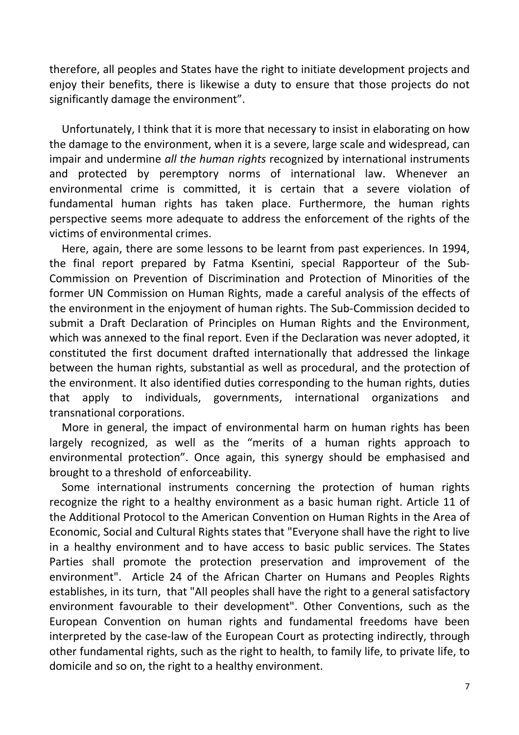therefore, all peoples and States have the right to initiate development projects and enjoy their benefits, there is likewise a duty to ensure that those projects do not significantly damage the environment".

Unfortunately, I think that it is more that necessary to insist in elaborating on how the damage to the environment, when it is a severe, large scale and widespread, can impair and undermine *all the human rights* recognized by international instruments and protected by peremptory norms of international law. Whenever an environmental crime is committed, it is certain that a severe violation of fundamental human rights has taken place. Furthermore, the human rights perspective seems more adequate to address the enforcement of the rights of the victims of environmental crimes.

Here, again, there are some lessons to be learnt from past experiences. In 1994, the final report prepared by Fatma Ksentini, special Rapporteur of the Sub-Commission on Prevention of Discrimination and Protection of Minorities of the former UN Commission on Human Rights, made a careful analysis of the effects of the environment in the enjoyment of human rights. The Sub-Commission decided to submit a Draft Declaration of Principles on Human Rights and the Environment, which was annexed to the final report. Even if the Declaration was never adopted, it constituted the first document drafted internationally that addressed the linkage between the human rights, substantial as well as procedural, and the protection of the environment. It also identified duties corresponding to the human rights, duties that apply to individuals, governments, international organizations and transnational corporations.

More in general, the impact of environmental harm on human rights has been largely recognized, as well as the "merits of a human rights approach to environmental protection". Once again, this synergy should be emphasised and brought to a threshold of enforceability.

Some international instruments concerning the protection of human rights recognize the right to a healthy environment as a basic human right. Article 11 of the Additional Protocol to the American Convention on Human Rights in the Area of Economic, Social and Cultural Rights states that "Everyone shall have the right to live in a healthy environment and to have access to basic public services. The States Parties shall promote the protection preservation and improvement of the environment". Article 24 of the African Charter on Humans and Peoples Rights establishes, in its turn, that "All peoples shall have the right to a general satisfactory environment favourable to their development". Other Conventions, such as the European Convention on human rights and fundamental freedoms have been interpreted by the case-law of the European Court as protecting indirectly, through other fundamental rights, such as the right to health, to family life, to private life, to domicile and so on, the right to a healthy environment.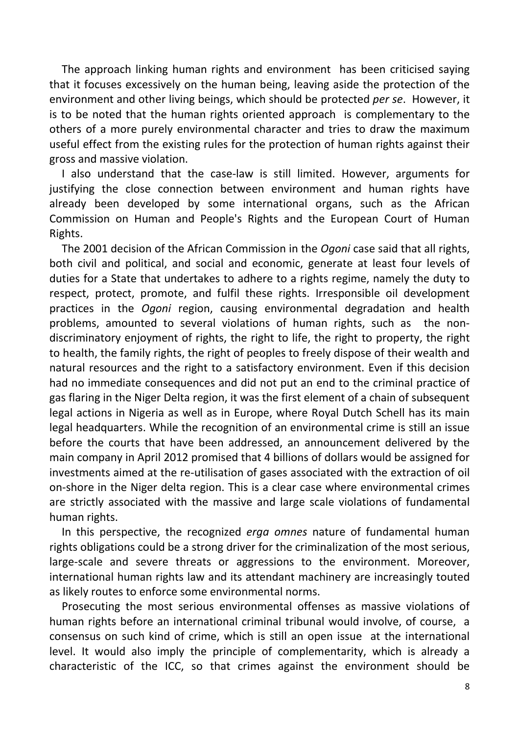The approach linking human rights and environment has been criticised saying that it focuses excessively on the human being, leaving aside the protection of the environment and other living beings, which should be protected *per se*. However, it is to be noted that the human rights oriented approach is complementary to the others of a more purely environmental character and tries to draw the maximum useful effect from the existing rules for the protection of human rights against their gross and massive violation.

I also understand that the case-law is still limited. However, arguments for justifying the close connection between environment and human rights have already been developed by some international organs, such as the African Commission on Human and People's Rights and the European Court of Human Rights.

The 2001 decision of the African Commission in the *Ogoni* case said that all rights, both civil and political, and social and economic, generate at least four levels of duties for a State that undertakes to adhere to a rights regime, namely the duty to respect, protect, promote, and fulfil these rights. Irresponsible oil development practices in the *Ogoni* region, causing environmental degradation and health problems, amounted to several violations of human rights, such as the nondiscriminatory enjoyment of rights, the right to life, the right to property, the right to health, the family rights, the right of peoples to freely dispose of their wealth and natural resources and the right to a satisfactory environment. Even if this decision had no immediate consequences and did not put an end to the criminal practice of gas flaring in the Niger Delta region, it was the first element of a chain of subsequent legal actions in Nigeria as well as in Europe, where Royal Dutch Schell has its main legal headquarters. While the recognition of an environmental crime is still an issue before the courts that have been addressed, an announcement delivered by the main company in April 2012 promised that 4 billions of dollars would be assigned for investments aimed at the re-utilisation of gases associated with the extraction of oil on-shore in the Niger delta region. This is a clear case where environmental crimes are strictly associated with the massive and large scale violations of fundamental human rights.

In this perspective, the recognized *erga omnes* nature of fundamental human rights obligations could be a strong driver for the criminalization of the most serious, large-scale and severe threats or aggressions to the environment. Moreover, international human rights law and its attendant machinery are increasingly touted as likely routes to enforce some environmental norms.

Prosecuting the most serious environmental offenses as massive violations of human rights before an international criminal tribunal would involve, of course, a consensus on such kind of crime, which is still an open issue at the international level. It would also imply the principle of complementarity, which is already a characteristic of the ICC, so that crimes against the environment should be